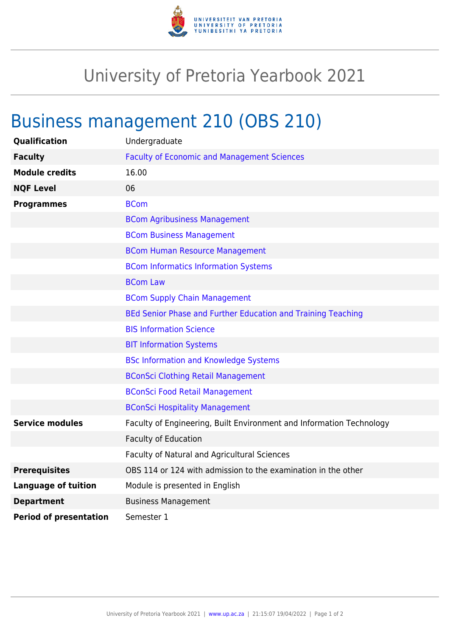

## University of Pretoria Yearbook 2021

## Business management 210 (OBS 210)

| Qualification                 | Undergraduate                                                        |
|-------------------------------|----------------------------------------------------------------------|
| <b>Faculty</b>                | <b>Faculty of Economic and Management Sciences</b>                   |
| <b>Module credits</b>         | 16.00                                                                |
| <b>NQF Level</b>              | 06                                                                   |
| <b>Programmes</b>             | <b>BCom</b>                                                          |
|                               | <b>BCom Agribusiness Management</b>                                  |
|                               | <b>BCom Business Management</b>                                      |
|                               | <b>BCom Human Resource Management</b>                                |
|                               | <b>BCom Informatics Information Systems</b>                          |
|                               | <b>BCom Law</b>                                                      |
|                               | <b>BCom Supply Chain Management</b>                                  |
|                               | BEd Senior Phase and Further Education and Training Teaching         |
|                               | <b>BIS Information Science</b>                                       |
|                               | <b>BIT Information Systems</b>                                       |
|                               | <b>BSc Information and Knowledge Systems</b>                         |
|                               | <b>BConSci Clothing Retail Management</b>                            |
|                               | <b>BConSci Food Retail Management</b>                                |
|                               | <b>BConSci Hospitality Management</b>                                |
| <b>Service modules</b>        | Faculty of Engineering, Built Environment and Information Technology |
|                               | <b>Faculty of Education</b>                                          |
|                               | Faculty of Natural and Agricultural Sciences                         |
| <b>Prerequisites</b>          | OBS 114 or 124 with admission to the examination in the other        |
| <b>Language of tuition</b>    | Module is presented in English                                       |
| <b>Department</b>             | <b>Business Management</b>                                           |
| <b>Period of presentation</b> | Semester 1                                                           |